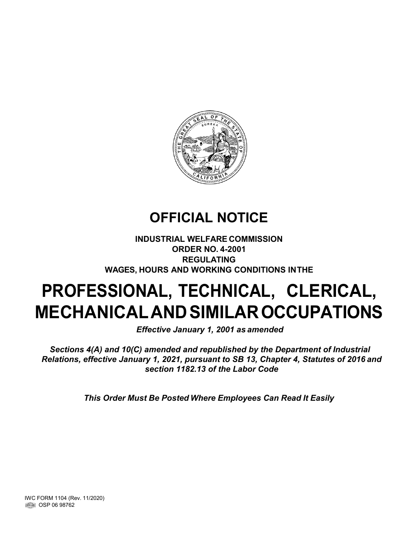

## **OFFICIAL NOTICE**

**INDUSTRIAL WELFARE COMMISSION ORDER NO. 4-2001 REGULATING WAGES, HOURS AND WORKING CONDITIONS INTHE** 

# **PROFESSIONAL, TECHNICAL, CLERICAL, MECHANICALANDSIMILAROCCUPATIONS**

*Effective January 1, 2001 as amended* 

*Sections 4(A) and 10(C) amended and republished by the Department of Industrial Relations, effective January 1, 2021, pursuant to SB 13, Chapter 4, Statutes of 2016 and section 1182.13 of the Labor Code* 

 *This Order Must Be Posted Where Employees Can Read It Easily*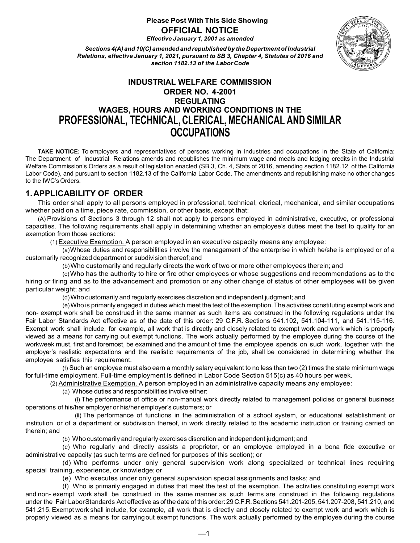#### **Please Post With This Side Showing OFFICIAL NOTICE**

 *Effective January 1, 2001 as amended* 



 *Sections 4(A) and 10(C) amended and republished by the Department of Industrial Relations, effective January 1, 2021, pursuant to SB 3, Chapter 4, Statutes of 2016 and section 1182.13 of the LaborCode* 

## **PROFESSIONAL, TECHNICAL, CLERICAL, MECHANICAL AND SIMILAR INDUSTRIAL WELFARE COMMISSION ORDER NO. 4-2001 REGULATING WAGES, HOURS AND WORKING CONDITIONS IN THE OCCUPATIONS**

 **TAKE NOTICE:** To employers and representatives of persons working in industries and occupations in the State of California: The Department of Industrial Relations amends and republishes the minimum wage and meals and lodging credits in the Industrial Welfare Commission's Orders as a result of legislation enacted (SB 3, Ch. 4, Stats of 2016, amending section 1182.12 of the California Labor Code), and pursuant to section 1182.13 of the California Labor Code. The amendments and republishing make no other changes to the IWC's Orders.

## **1.APPLICABILITY OF ORDER**

 This order shall apply to all persons employed in professional, technical, clerical, mechanical, and similar occupations whether paid on a time, piece rate, commission, or other basis, except that:

 (A) Provisions of Sections 3 through 12 shall not apply to persons employed in administrative, executive, or professional capacities. The following requirements shall apply in determining whether an employee's duties meet the test to qualify for an exemption from those sections:

(1) Executive Exemption. A person employed in an executive capacity means any employee:

 (a)Whose duties and responsibilities involve the management of the enterprise in which he/she is employed or of a customarily recognized department or subdivision thereof; and

(b) Who customarily and regularly directs the work of two or more other employees therein; and

 (c) Who has the authority to hire or fire other employees or whose suggestions and recommendations as to the hiring or firing and as to the advancement and promotion or any other change of status of other employees will be given particular weight; and

(d) Who customarily and regularly exercises discretion and independent judgment; and

 (e) Who is primarily engaged in duties which meet the test of the exemption. The activities constituting exempt work and non- exempt work shall be construed in the same manner as such items are construed in the following regulations under the Fair Labor Standards Act effective as of the date of this order: 29 C.F.R. Sections 541.102, 541.104-111, and 541.115-116. Exempt work shall include, for example, all work that is directly and closely related to exempt work and work which is properly viewed as a means for carrying out exempt functions. The work actually performed by the employee during the course of the workweek must, first and foremost, be examined and the amount of time the employee spends on such work, together with the employer's realistic expectations and the realistic requirements of the job, shall be considered in determining whether the employee satisfies this requirement.

 (f) Such an employee must also earn a monthly salary equivalent to no less than two (2) times the state minimum wage for full-time employment. Full-time employment is defined in Labor Code Section 515(c) as 40 hours per week.

(2) Administrative Exemption. A person employed in an administrative capacity means any employee:

(a) Whose duties and responsibilities involve either:

 (i) The performance of office or non-manual work directly related to management policies or general business operations of his/her employer or his/her employer's customers; or

 (ii) The performance of functions in the administration of a school system, or educational establishment or institution, or of a department or subdivision thereof, in work directly related to the academic instruction or training carried on therein; and

(b) Who customarily and regularly exercises discretion and independent judgment; and

 (c) Who regularly and directly assists a proprietor, or an employee employed in a bona fide executive or administrative capacity (as such terms are defined for purposes of this section); or

 (d) Who performs under only general supervision work along specialized or technical lines requiring special training, experience, or knowledge; or

(e) Who executes under only general supervision special assignments and tasks; and

 and non- exempt work shall be construed in the same manner as such terms are construed in the following regulations under the Fair LaborStandards Act effective as of the date of this order: 29 C.F.R.Sections 541.201-205, 541.207-208, 541.210, and 541.215. Exempt work shall include, for example, all work that is directly and closely related to exempt work and work which is properly viewed as a means for carryingout exempt functions. The work actually performed by the employee during the course (f) Who is primarily engaged in duties that meet the test of the exemption. The activities constituting exempt work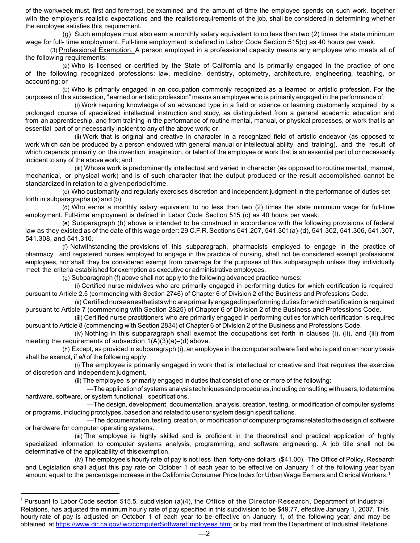of the workweek must, first and foremost, be examined and the amount of time the employee spends on such work, together with the employer's realistic expectations and the realistic requirements of the job, shall be considered in determining whether the employee satisfies this requirement.

 (g) Such employee must also earn a monthly salary equivalent to no less than two (2) times the state minimum wage for full- time employment. Full-time employment is defined in Labor Code Section 515(c) as 40 hours per week.

(3) Professional Exemption. A person employed in a professional capacity means any employee who meets all of the following requirements:

 (a) Who is licensed or certified by the State of California and is primarily engaged in the practice of one of the following recognized professions: law, medicine, dentistry, optometry, architecture, engineering, teaching, or accounting; or

 (b) Who is primarily engaged in an occupation commonly recognized as a learned or artistic profession. For the purposes of this subsection, "learned or artistic profession" means an employee who is primarily engaged in the performance of:

 (i) Work requiring knowledge of an advanced type in a field or science or learning customarily acquired by a prolonged course of specialized intellectual instruction and study, as distinguished from a general academic education and from an apprenticeship, and from training in the performance of routine mental, manual, or physical processes, or work that is an essential part of or necessarily incident to any of the above work; or

 (ii) Work that is original and creative in character in a recognized field of artistic endeavor (as opposed to which depends primarily on the invention, imagination, or talent of the employee or work that is an essential part of or necessarily incident to any of the above work; and work which can be produced by a person endowed with general manual or intellectual ability and training), and the result of

 (iii) Whose work is predominantly intellectual and varied in character (as opposed to routine mental, manual, mechanical, or physical work) and is of such character that the output produced or the result accomplished cannot be standardized in relation to a given periodoftime.

 (c) Who customarily and regularly exercises discretion and independent judgment in the performance of duties set forth in subparagraphs (a) and (b).

 (d) Who earns a monthly salary equivalent to no less than two (2) times the state minimum wage for full-time employment. Full-time employment is defined in Labor Code Section 515 (c) as 40 hours per week.

 (e) Subparagraph (b) above is intended to be construed in accordance with the following provisions of federal law as they existed as of the date of this wage order: 29 C.F.R. Sections 541.207, 541.301(a)-(d), 541.302, 541.306, 541.307, 541.308, and 541.310.

 (f) Notwithstanding the provisions of this subparagraph, pharmacists employed to engage in the practice of pharmacy, and registered nurses employed to engage in the practice of nursing, shall not be considered exempt professional employees, nor shall they be considered exempt from coverage for the purposes of this subparagraph unless they individually meet the criteria established for exemption as executive or administrative employees.

(g) Subparagraph (f) above shall not apply to the following advanced practice nurses:

 (i) Certified nurse midwives who are primarily engaged in performing duties for which certification is required pursuant to Article 2.5 (commencing with Section 2746) of Chapter 6 of Division 2 of the Business and Professions Code.

 (ii) Certifiednurse anesthetistswho areprimarilyengagedinperforming dutiesforwhichcertification is required pursuant to Article 7 (commencing with Section 2825) of Chapter 6 of Division 2 of the Business and Professions Code.

 (iii) Certified nurse practitioners who are primarily engaged in performing duties for which certification is required pursuant to Article 8 (commencing with Section 2834) of Chapter 6 of Division 2 of the Business and Professions Code.

 (iv) Nothing in this subparagraph shall exempt the occupations set forth in clauses (i), (ii), and (iii) from meeting the requirements of subsection 1(A)(3)(a)–(d) above.

 (h) Except, as provided in subparagraph (i), an employee in the computer software field who is paid on an hourly basis shall be exempt, if *all* of the following apply:

 (i) The employee is primarily engaged in work that is intellectual or creative and that requires the exercise of discretion and independent judgment.

(ii) The employee is primarily engaged in duties that consist of one or more of the following:

 —Theapplicationof systems analysistechniques and procedures, including consultingwith users,to determine hardware, software, or system functional specifications.

 —The design, development, documentation, analysis, creation, testing, or modification of computer systems or programs, including prototypes, based on and related to user or system design specifications.

 —The documentation, testing, creation, or modification of computerprograms relatedtothe design of software or hardware for computer operating systems.

 (iii) The employee is highly skilled and is proficient in the theoretical and practical application of highly specialized information to computer systems analysis, programming, and software engineering. A job title shall not be determinative of the applicability of thisexemption.

 (iv) The employee's hourly rate of pay is not less than forty-one dollars (\$41.00). The Office of Policy, Research and Legislation shall adjust this pay rate on October 1 of each year to be effective on January 1 of the following year byan amount equal to the percentage increase in the California Consumer Price Index for Urban Wage Earners and Clerical Workers. $^{\rm 1}$ 

l

 $1$  Pursuant to Labor Code section 515.5, subdivision (a)(4), the Office of the Director-Research, Department of Industrial Relations, has adjusted the minimum hourly rate of pay specified in this subdivision to be \$49.77, effective January 1, 2007. This hourly rate of pay is adjusted on October 1 of each year to be effective on January 1, of the following year, and may be obtained at <u>https://www.dir.ca.gov/iwc/computerSoftwareEmployees.html</u> or by mail from the Department of Industrial Relations.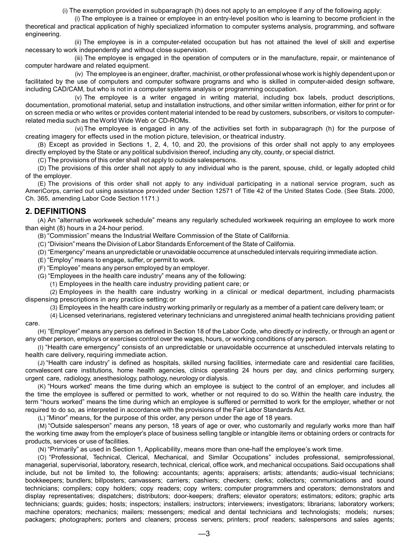(i) The exemption provided in subparagraph (h) does not apply to an employee if *any* of the following apply:

 (i) The employee is a trainee or employee in an entry-level position who is learning to become proficient in the theoretical and practical application of highly specialized information to computer systems analysis, programming, and software engineering.

 (ii) The employee is in a computer-related occupation but has not attained the level of skill and expertise necessary to work independently and without close supervision.

 (iii) The employee is engaged in the operation of computers or in the manufacture, repair, or maintenance of computer hardware and related equipment.

 (iv) The employee is an engineer, drafter, machinist, or other professional whose work is highly dependent upon or facilitated by the use of computers and computer software programs and who is skilled in computer-aided design software, including CAD/CAM, but who is not in a computer systems analysis or programming occupation.

 (v) The employee is a writer engaged in writing material, including box labels, product descriptions, documentation, promotional material, setup and installation instructions, and other similar written information, either for print or for on screen media or who writes or provides content material intended to be read by customers, subscribers, or visitors to computer-related media such as the World Wide Web or CD-ROMs.

 (vi) The employee is engaged in any of the activities set forth in subparagraph (h) for the purpose of creating imagery for effects used in the motion picture, television, or theatrical industry.

 (B) Except as provided in Sections 1, 2, 4, 10, and 20, the provisions of this order shall not apply to any employees directly employed by the State or any political subdivision thereof, including any city, county, or special district.

(C) The provisions of this order shall not apply to outside salespersons.

 (D) The provisions of this order shall not apply to any individual who is the parent, spouse, child, or legally adopted child of the employer.

 (E) The provisions of this order shall not apply to any individual participating in a national service program, such as AmeriCorps, carried out using assistance provided under Section 12571 of Title 42 of the United States Code. (See Stats. 2000, Ch. 365, amending Labor Code Section 1171.)

## **2. DEFINITIONS**

 (A) An "alternative workweek schedule" means any regularly scheduled workweek requiring an employee to work more than eight (8) hours in a 24-hour period.

- (B) "Commission" means the Industrial Welfare Commission of the State of California.
- (C) "Division" means the Division of Labor Standards Enforcement of the State of California.
- (D) "Emergency" means an unpredictable or unavoidable occurrence at unscheduled intervals requiring immediate action.
- (E) "Employ" means to engage, suffer, or permit to work.
- (F) "Employee" means any person employed by an employer.
- (G) "Employees in the health care industry" means any of the following:
	- (1) Employees in the health care industry providing patient care; or

 dispensing prescriptions in any practice setting; or (2) Employees in the health care industry working in a clinical or medical department, including pharmacists

(3) Employees in the health care industry working primarily or regularly as a member of a patient care delivery team; or

 (4) Licensed veterinarians, registered veterinary technicians and unregistered animal health technicians providing patient care.

 (H) "Employer" means any person as defined in Section 18 of the Labor Code, who directly or indirectly, or through an agent or any other person, employs or exercises control over the wages, hours, or working conditions of any person.

 (I) "Health care emergency" consists of an unpredictable or unavoidable occurrence at unscheduled intervals relating to health care delivery, requiring immediate action.

 (J) "Health care industry" is defined as hospitals, skilled nursing facilities, intermediate care and residential care facilities, convalescent care institutions, home health agencies, clinics operating 24 hours per day, and clinics performing surgery, urgent care, radiology, anesthesiology, pathology, neurology or dialysis.

 (K) "Hours worked" means the time during which an employee is subject to the control of an employer, and includes all the time the employee is suffered or permitted to work, whether or not required to do so. Within the health care industry, the term "hours worked" means the time during which an employee is suffered or permitted to work for the employer, whether or not required to do so, as interpreted in accordance with the provisions of the Fair Labor Standards Act.

(L) "Minor" means, for the purpose of this order, any person under the age of 18 years.

 (M) "Outside salesperson" means any person, 18 years of age or over, who customarily and regularly works more than half the working time away from the employer's place of business selling tangible or intangible items or obtaining orders or contracts for products, services or use of facilities.

(N) "Primarily" as used in Section 1, Applicability, means more than one-half the employee's work time.

 (O) "Professional, Technical, Clerical, Mechanical, and Similar Occupations" includes professional, semiprofessional, managerial, supervisorial, laboratory, research, technical, clerical, office work, and mechanical occupations. Said occupations shall include, but not be limited to, the following: accountants; agents; appraisers; artists; attendants; audio-visual technicians; bookkeepers; bundlers; billposters; canvassers; carriers; cashiers; checkers; clerks; collectors; communications and sound display representatives; dispatchers; distributors; door-keepers; drafters; elevator operators; estimators; editors; graphic arts technicians; guards; guides; hosts; inspectors; installers; instructors; interviewers; investigators; librarians; laboratory workers; machine operators; mechanics; mailers; messengers; medical and dental technicians and technologists; models; nurses; packagers; photographers; porters and cleaners; process servers; printers; proof readers; salespersons and sales agents; technicians; compilers; copy holders; copy readers; copy writers; computer programmers and operators; demonstrators and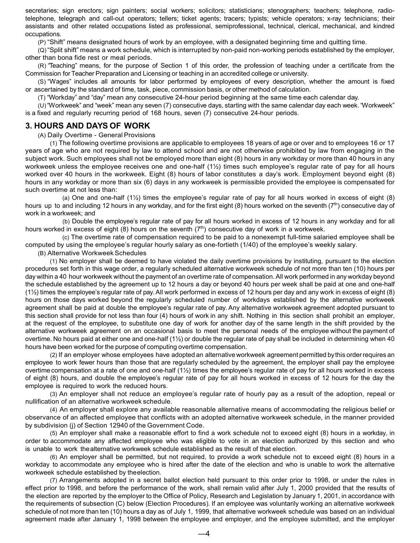secretaries; sign erectors; sign painters; social workers; solicitors; statisticians; stenographers; teachers; telephone, radio- telephone, telegraph and call-out operators; tellers; ticket agents; tracers; typists; vehicle operators; x-ray technicians; their assistants and other related occupations listed as professional, semiprofessional, technical, clerical, mechanical, and kindred occupations.

(P) "Shift" means designated hours of work by an employee, with a designated beginning time and quitting time.

 (Q) "Split shift" means a work schedule, which is interrupted by non-paid non-working periods established by the employer, other than bona fide rest or meal periods.

 (R) "Teaching" means, for the purpose of Section 1 of this order, the profession of teaching under a certificate from the Commission for Teacher Preparation and Licensing or teaching in an accredited college or university.

 (S) "Wages" includes all amounts for labor performed by employees of every description, whether the amount is fixed or ascertained by the standard of time, task, piece, commission basis, or other method of calculation.

(T) "Workday" and "day" mean any consecutive 24-hour period beginning at the same time each calendar day.

 (U) "Workweek" and "week" mean any seven (7) consecutive days, starting with the same calendar day each week. "Workweek" is a fixed and regularly recurring period of 168 hours, seven (7) consecutive 24-hour periods.

#### **3. HOURS AND DAYS OF WORK**

(A) Daily Overtime - General Provisions

 (1) The following overtime provisions are applicable to employees 18 years of age or over and to employees 16 or 17 years of age who are not required by law to attend school and are not otherwise prohibited by law from engaging in the subject work. Such employees shall not be employed more than eight (8) hours in any workday or more than 40 hours in any workweek unless the employee receives one and one-half (1½) times such employee's regular rate of pay for all hours worked over 40 hours in the workweek. Eight (8) hours of labor constitutes a day's work. Employment beyond eight (8) hours in any workday or more than six (6) days in any workweek is permissible provided the employee is compensated for such overtime at not less than:

 (a) One and one-half (1½) times the employee's regular rate of pay for all hours worked in excess of eight (8) hours up to and including 12 hours in any workday, and for the first eight (8) hours worked on the seventh (7<sup>th</sup>) consecutive day of work in a workweek; and

hours worked in excess of eight (8) hours on the seventh  $(7<sup>th</sup>)$  consecutive day of work in a workweek. (b) Double the employee's regular rate of pay for all hours worked in excess of 12 hours in any workday and for all

 (c) The overtime rate of compensation required to be paid to a nonexempt full-time salaried employee shall be computed by using the employee's regular hourly salary as one-fortieth (1/40) of the employee's weekly salary.

(B) Alternative Workweek Schedules

 (1) No employer shall be deemed to have violated the daily overtime provisions by instituting, pursuant to the election procedures set forth in this wage order, a regularly scheduled alternative workweek schedule of not more than ten (10) hours per day within a 40 hour workweek without the payment of an overtime rate of compensation. All work performed in any workday beyond the schedule established by the agreement up to 12 hours a day or beyond 40 hours per week shall be paid at one and one-half (1½) times the employee's regular rate of pay. All work performed in excess of 12 hours per day and any work in excess of eight (8) hours on those days worked beyond the regularly scheduled number of workdays established by the alternative workweek agreement shall be paid at double the employee's regular rate of pay. Any alternative workweek agreement adopted pursuant to this section shall provide for not less than four (4) hours of work in any shift. Nothing in this section shall prohibit an employer, at the request of the employee, to substitute one day of work for another day of the same length in the shift provided by the alternative workweek agreement on an occasional basis to meet the personal needs of the employee without the payment of overtime. No hours paid at either one and one-half (1½) or double the regular rate of pay shall be included in determining when 40 hours have been worked for the purpose of computing overtime compensation.

 (2) If an employer whose employees have adopted an alternative workweek agreement permitted bythis order requires an employee to work fewer hours than those that are regularly scheduled by the agreement, the employer shall pay the employee overtime compensation at a rate of one and one-half (1½) times the employee's regular rate of pay for all hours worked in excess of eight (8) hours, and double the employee's regular rate of pay for all hours worked in excess of 12 hours for the day the employee is required to work the reduced hours.

 (3) An employer shall not reduce an employee's regular rate of hourly pay as a result of the adoption, repeal or nullification of an alternative workweek schedule.

 (4) An employer shall explore any available reasonable alternative means of accommodating the religious belief or observance of an affected employee that conflicts with an adopted alternative workweek schedule, in the manner provided by subdivision (j) of Section 12940 of the Government Code.

 (5) An employer shall make a reasonable effort to find a work schedule not to exceed eight (8) hours in a workday, in order to accommodate any affected employee who was eligible to vote in an election authorized by this section and who is unable to work thealternative workweek schedule established as the result of that election.

 (6) An employer shall be permitted, but not required, to provide a work schedule not to exceed eight (8) hours in a workday to accommodate any employee who is hired after the date of the election and who is unable to work the alternative workweek schedule established by theelection.

 (7) Arrangements adopted in a secret ballot election held pursuant to this order prior to 1998, or under the rules in effect prior to 1998, and before the performance of the work, shall remain valid after July 1, 2000 provided that the results of the election are reported by the employer to the Office of Policy, Research and Legislation by January 1, 2001, in accordance with the requirements of subsection (C) below (Election Procedures). If an employee was voluntarily working an alternative workweek schedule of not more than ten (10) hours a day as of July 1, 1999, that alternative workweek schedule was based on an individual agreement made after January 1, 1998 between the employee and employer, and the employee submitted, and the employer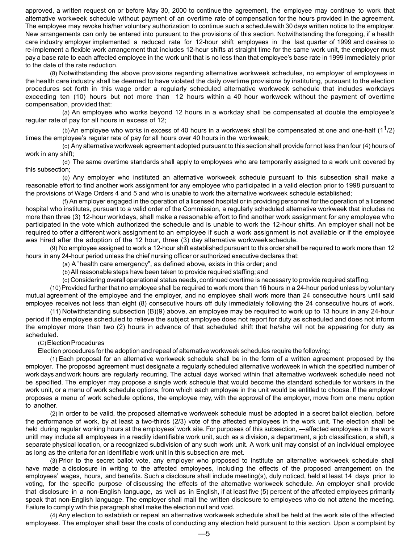approved, a written request on or before May 30, 2000 to continue the agreement, the employee may continue to work that alternative workweek schedule without payment of an overtime rate of compensation for the hours provided in the agreement. The employee may revoke his/her voluntary authorization to continue such a schedule with 30 days written notice to the employer. New arrangements can only be entered into pursuant to the provisions of this section. Notwithstanding the foregoing, if a health care industry employer implemented a reduced rate for 12-hour shift employees in the last quarter of 1999 and desires to re-implement a flexible work arrangement that includes 12-hour shifts at straight time for the same work unit, the employer must pay a base rate to each affected employee in the work unit that is no less than that employee's base rate in 1999 immediately prior to the date of the rate reduction.

 (8) Notwithstanding the above provisions regarding alternative workweek schedules, no employer of employees in the health care industry shall be deemed to have violated the daily overtime provisions by instituting, pursuant to the election procedures set forth in this wage order a regularly scheduled alternative workweek schedule that includes workdays exceeding ten (10) hours but not more than 12 hours within a 40 hour workweek without the payment of overtime compensation, provided that:

 (a) An employee who works beyond 12 hours in a workday shall be compensated at double the employee's regular rate of pay for all hours in excess of 12;

(b) An employee who works in excess of 40 hours in a workweek shall be compensated at one and one-half (1 $^{1/2}$ ) times the employee's regular rate of pay for all hours over 40 hours in the workweek;

 (c) Any alternative workweek agreement adopted pursuant to this section shall provide for not less than four (4) hours of work in any shift;

(d) The same overtime standards shall apply to employees who are temporarily assigned to a work unit covered by this subsection;

 reasonable effort to find another work assignment for any employee who participated in a valid election prior to 1998 pursuant to the provisions of Wage Orders 4 and 5 and who is unable to work the alternative workweek schedule established; (e) Any employer who instituted an alternative workweek schedule pursuant to this subsection shall make a

 (f) An employer engaged in the operation of a licensed hospital or in providing personnel for the operation of a licensed hospital who institutes, pursuant to a valid order of the Commission, a regularly scheduled alternative workweek that includes no more than three (3) 12-hour workdays, shall make a reasonable effort to find another work assignment for any employee who participated in the vote which authorized the schedule and is unable to work the 12-hour shifts. An employer shall not be required to offer a different work assignment to an employee if such a work assignment is not available or if the employee was hired after the adoption of the 12 hour, three (3) day alternative workweekschedule.

 (9) No employee assigned to work a 12-hour shift established pursuant to this order shall be required to work more than 12 hours in any 24-hour period unless the chief nursing officer or authorized executive declares that:

(a) A "health care emergency", as defined above, exists in this order; and

(b) All reasonable steps have been taken to provide required staffing; and

(c) Considering overall operational status needs, continued overtime is necessary to provide required staffing.

 (10) Provided further that no employee shall be required to work more than 16 hours in a 24-hour period unless by voluntary mutual agreement of the employee and the employer, and no employee shall work more than 24 consecutive hours until said employee receives not less than eight (8) consecutive hours off duty immediately following the 24 consecutive hours of work.

 (11) Notwithstanding subsection (B)(9) above, an employee may be required to work up to 13 hours in any 24-hour period if the employee scheduled to relieve the subject employee does not report for duty as scheduled and does not inform the employer more than two (2) hours in advance of that scheduled shift that he/she will not be appearing for duty as scheduled.

(C) ElectionProcedures

Election procedures for the adoption and repeal of alternative workweek schedules require the following:

 (1) Each proposal for an alternative workweek schedule shall be in the form of a written agreement proposed by the employer. The proposed agreement must designate a regularly scheduled alternative workweek in which the specified number of work days and work hours are regularly recurring. The actual days worked within that alternative workweek schedule need not be specified. The employer may propose a single work schedule that would become the standard schedule for workers in the work unit, or a menu of work schedule options, from which each employee in the unit would be entitled to choose. If the employer proposes a menu of work schedule options, the employee may, with the approval of the employer, move from one menu option to another.

 (2) In order to be valid, the proposed alternative workweek schedule must be adopted in a secret ballot election, before the performance of work, by at least a two-thirds (2/3) vote of the affected employees in the work unit. The election shall be held during regular working hours at the employees' work site. For purposes of this subsection, ―affected employees in the work unit‖ may include all employees in a readily identifiable work unit, such as a division, a department, a job classification, a shift, a separate physical location, or a recognized subdivision of any such work unit. A work unit may consist of an individual employee as long as the criteria for an identifiable work unit in this subsection are met.

 (3) Prior to the secret ballot vote, any employer who proposed to institute an alternative workweek schedule shall have made a disclosure in writing to the affected employees, including the effects of the proposed arrangement on the employees' wages, hours, and benefits. Such a disclosure shall include meeting(s), duly noticed, held at least 14 days prior to voting, for the specific purpose of discussing the effects of the alternative workweek schedule. An employer shall provide that disclosure in a non-English language, as well as in English, if at least five (5) percent of the affected employees primarily speak that non-English language. The employer shall mail the written disclosure to employees who do not attend the meeting. Failure to comply with this paragraph shall make the election null and void.

 (4) Any election to establish or repeal an alternative workweek schedule shall be held at the work site of the affected employees. The employer shall bear the costs of conducting any election held pursuant to this section. Upon a complaint by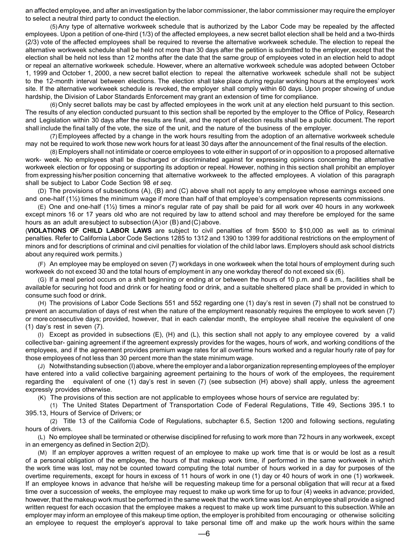an affected employee, and after an investigation by the labor commissioner, the labor commissioner may require the employer to select a neutral third party to conduct the election.

 (5) Any type of alternative workweek schedule that is authorized by the Labor Code may be repealed by the affected employees. Upon a petition of one-third (1/3) of the affected employees, a new secret ballot election shall be held and a two-thirds (2/3) vote of the affected employees shall be required to reverse the alternative workweek schedule. The election to repeal the alternative workweek schedule shall be held not more than 30 days after the petition is submitted to the employer, except that the election shall be held not less than 12 months after the date that the same group of employees voted in an election held to adopt or repeal an alternative workweek schedule. However, where an alternative workweek schedule was adopted between October 1, 1999 and October 1, 2000, a new secret ballot election to repeal the alternative workweek schedule shall not be subject to the 12-month interval between elections. The election shall take place during regular working hours at the employees' work site. If the alternative workweek schedule is revoked, the employer shall comply within 60 days. Upon proper showing of undue hardship, the Division of Labor Standards Enforcement may grant an extension of time for compliance.

 (6) Only secret ballots may be cast by affected employees in the work unit at any election held pursuant to this section. The results of any election conducted pursuant to this section shall be reported by the employer to the Office of Policy, Research and Legislation within 30 days after the results are final, and the report of election results shall be a public document. The report shall include the final tally of the vote, the size of the unit, and the nature of the business of the employer.

 (7) Employees affected by a change in the work hours resulting from the adoption of an alternative workweek schedule may not be required to work those new work hours for at least 30 days after the announcement of the final results of the election.

 (8) Employers shall not intimidate or coerce employees to vote either in support of or in opposition to a proposed alternative workweek election or for opposing or supporting its adoption or repeal. However, nothing in this section shall prohibit an employer from expressing his/her position concerning that alternative workweek to the affected employees. A violation of this paragraph shall be subject to Labor Code Section 98 *et seq.*  work- week. No employees shall be discharged or discriminated against for expressing opinions concerning the alternative

 (D) The provisions of subsections (A), (B) and (C) above shall not apply to any employee whose earnings exceed one and one-half (1½) times the minimum wage if more than half of that employee's compensation represents commissions.

 (E) One and one-half (1½) times a minor's regular rate of pay shall be paid for all work over 40 hours in any workweek except minors 16 or 17 years old who are not required by law to attend school and may therefore be employed for the same hours as an adult aresubject to subsection (A)or (B) and(C) above.

 (**VIOLATIONS OF CHILD LABOR LAWS** are subject to civil penalties of from \$500 to \$10,000 as well as to criminal penalties. Refer to California Labor Code Sections 1285 to 1312 and 1390 to 1399 for additional restrictions on the employment of minors and for descriptions of criminal and civil penalties for violation of the child labor laws. Employers should ask school districts about any required work permits.)

 (F) An employee may be employed on seven (7) workdays in one workweek when the total hours of employment during such workweek do not exceed 30 and the total hours of employment in any one workday thereof do not exceed six (6).

 available for securing hot food and drink or for heating food or drink, and a suitable sheltered place shall be provided in which to consume such food or drink. (G) If a meal period occurs on a shift beginning or ending at or between the hours of 10 p.m. and 6 a.m., facilities shall be

 (H) The provisions of Labor Code Sections 551 and 552 regarding one (1) day's rest in seven (7) shall not be construed to prevent an accumulation of days of rest when the nature of the employment reasonably requires the employee to work seven (7) or more consecutive days; provided, however, that in each calendar month, the employee shall receive the equivalent of one (1) day's rest in seven (7).

 collective bar- gaining agreement if the agreement expressly provides for the wages, hours of work, and working conditions of the employees, and if the agreement provides premium wage rates for all overtime hours worked and a regular hourly rate of pay for those employees of not less than 30 percent more than the state minimum wage. (I) Except as provided in subsections (E), (H) and (L), this section shall not apply to any employee covered by a valid

 (J) Notwithstanding subsection (I) above, where the employer and a labor organization representing employees of the employer expressly provides otherwise. have entered into a valid collective bargaining agreement pertaining to the hours of work of the employees, the requirement regarding the equivalent of one (1) day's rest in seven (7) (see subsection (H) above) shall apply, unless the agreement

(K) The provisions of this section are not applicable to employees whose hours of service are regulated by:

 395.13, Hours of Service of Drivers; or (1) The United States Department of Transportation Code of Federal Regulations, Title 49, Sections 395.1 to

 (2) Title 13 of the California Code of Regulations, subchapter 6.5, Section 1200 and following sections, regulating hours of drivers.

 (L) No employee shall be terminated or otherwise disciplined for refusing to work more than 72 hours in any workweek, except in an emergency as defined in Section 2(D).

 (M) If an employer approves a written request of an employee to make up work time that is or would be lost as a result of a personal obligation of the employee, the hours of that makeup work time, if performed in the same workweek in which the work time was lost, may not be counted toward computing the total number of hours worked in a day for purposes of the overtime requirements, except for hours in excess of 11 hours of work in one (1) day or 40 hours of work in one (1) workweek. If an employee knows in advance that he/she will be requesting makeup time for a personal obligation that will recur at a fixed time over a succession of weeks, the employee may request to make up work time for up to four (4) weeks in advance; provided, however, that the makeup work must be performed in the same week that the work time was lost. An employee shall provide a signed written request for each occasion that the employee makes a request to make up work time pursuant to this subsection.While an employer may inform an employee of this makeup time option, the employer is prohibited from encouraging or otherwise soliciting an employee to request the employer's approval to take personal time off and make up the work hours within the same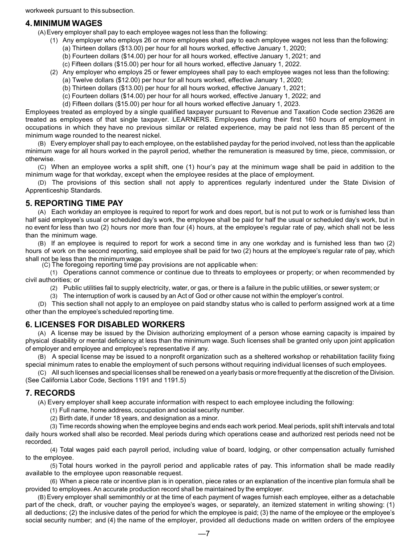workweek pursuant to this subsection.

## **4.MINIMUM WAGES**

(A) Every employer shall pay to each employee wages not less than the following:

- (1) Any employer who employs 26 or more employees shall pay to each employee wages not less than the following: (a) Thirteen dollars (\$13.00) per hour for all hours worked, effective January 1, 2020;
	- (b) Fourteen dollars (\$14.00) per hour for all hours worked, effective January 1, 2021; and
	- (c) Fifteen dollars (\$15.00) per hour for all hours worked, effective January 1, 2022.
- (2) Any employer who employs 25 or fewer employees shall pay to each employee wages not less than the following:
	- (a) Twelve dollars (\$12.00) per hour for all hours worked, effective January 1, 2020;
	- (b) Thirteen dollars (\$13.00) per hour for all hours worked, effective January 1, 2021;
	- (c) Fourteen dollars (\$14.00) per hour for all hours worked, effective January 1, 2022; and
	- (d) Fifteen dollars (\$15.00) per hour for all hours worked effective January 1, 2023.

 Employees treated as employed by a single qualified taxpayer pursuant to Revenue and Taxation Code section 23626 are treated as employees of that single taxpayer. LEARNERS. Employees during their first 160 hours of employment in occupations in which they have no previous similar or related experience, may be paid not less than 85 percent of the minimum wage rounded to the nearest nickel.

 (B) Every employer shall pay to each employee, on the established payday for the period involved, not less than the applicable minimum wage for all hours worked in the payroll period, whether the remuneration is measured by time, piece, commission, or otherwise.

 (C) When an employee works a split shift, one (1) hour's pay at the minimum wage shall be paid in addition to the minimum wage for that workday, except when the employee resides at the place of employment.

 (D) The provisions of this section shall not apply to apprentices regularly indentured under the State Division of Apprenticeship Standards.

## **5. REPORTING TIME PAY**

 (A) Each workday an employee is required to report for work and does report, but is not put to work or is furnished less than half said employee's usual or scheduled day's work, the employee shall be paid for half the usual or scheduled day's work, but in no event for less than two (2) hours nor more than four (4) hours, at the employee's regular rate of pay, which shall not be less than the minimum wage.

 (B) If an employee is required to report for work a second time in any one workday and is furnished less than two (2) hours of work on the second reporting, said employee shall be paid for two (2) hours at the employee's regular rate of pay, which shall not be less than the minimum wage.

(C) The foregoing reporting time pay provisions are not applicable when:

 (1) Operations cannot commence or continue due to threats to employees or property; or when recommended by civil authorities; or

(2) Public utilities fail to supply electricity, water, or gas, or there is a failure in the public utilities, or sewer system; or

(3) The interruption of work is caused by an Act of God or other cause not within the employer's control.

 (D) This section shall not apply to an employee on paid standby status who is called to perform assigned work at a time other than the employee's scheduled reporting time.

## **6. LICENSES FOR DISABLED WORKERS**

 (A) A license may be issued by the Division authorizing employment of a person whose earning capacity is impaired by physical disability or mental deficiency at less than the minimum wage. Such licenses shall be granted only upon joint application of employer and employee and employee's representative if any.

 special minimum rates to enable the employment of such persons without requiring individual licenses of such employees. (B) A special license may be issued to a nonprofit organization such as a sheltered workshop or rehabilitation facility fixing

 (C) All such licenses and special licenses shall be renewed on a yearly basis or more frequently at the discretion of the Division. (See California Labor Code, Sections 1191 and 1191.5)

#### **7. RECORDS**

(A) Every employer shall keep accurate information with respect to each employee including the following:

(1) Full name, home address, occupation and social security number.

(2) Birth date, if under 18 years, and designation as a minor.

 (3) Time records showing when the employee begins and ends each work period. Meal periods, split shift intervals and total daily hours worked shall also be recorded. Meal periods during which operations cease and authorized rest periods need not be recorded.

 (4) Total wages paid each payroll period, including value of board, lodging, or other compensation actually furnished to the employee.

 (5) Total hours worked in the payroll period and applicable rates of pay. This information shall be made readily available to the employee upon reasonable request.

 (6) When a piece rate or incentive plan is in operation, piece rates or an explanation of the incentive plan formula shall be provided to employees. An accurate production record shall be maintained by the employer.

 (B) Every employer shall semimonthly or at the time of each payment of wages furnish each employee, either as a detachable part of the check, draft, or voucher paying the employee's wages, or separately, an itemized statement in writing showing: (1) all deductions; (2) the inclusive dates of the period for which the employee is paid; (3) the name of the employee or the employee's social security number; and (4) the name of the employer, provided all deductions made on written orders of the employee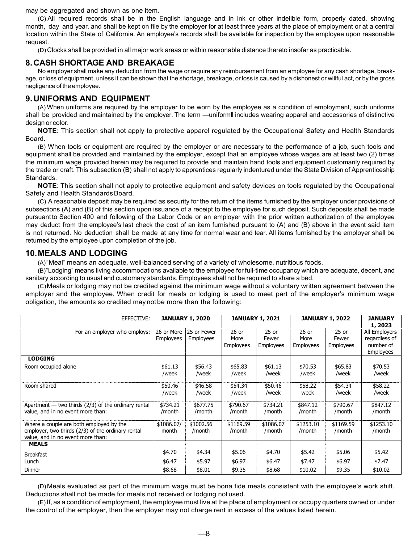may be aggregated and shown as one item.

 (C) All required records shall be in the English language and in ink or other indelible form, properly dated, showing month, day and year, and shall be kept on file by the employer for at least three years at the place of employment or at a central location within the State of California. An employee's records shall be available for inspection by the employee upon reasonable request.

(D) Clocks shall be provided in all major work areas or within reasonable distance thereto insofar as practicable.

#### **8.CASH SHORTAGE AND BREAKAGE**

 No employer shall make any deduction from the wage or require any reimbursement from an employee for any cash shortage, break- age, or loss of equipment, unless it can be shown that the shortage, breakage, or loss is caused by a dishonest or willful act, or by the gross negligence of the employee.

#### **9.UNIFORMS AND EQUIPMENT**

 (A) When uniforms are required by the employer to be worn by the employee as a condition of employment, such uniforms shall be provided and maintained by the employer. The term ―uniform‖ includes wearing apparel and accessories of distinctive design or color.

 **NOTE:** This section shall not apply to protective apparel regulated by the Occupational Safety and Health Standards Board.

 (B) When tools or equipment are required by the employer or are necessary to the performance of a job, such tools and equipment shall be provided and maintained by the employer, except that an employee whose wages are at least two (2) times the minimum wage provided herein may be required to provide and maintain hand tools and equipment customarily required by the trade or craft. This subsection (B) shall not apply to apprentices regularly indentured under the State Division of Apprenticeship Standards.

 **NOTE**: This section shall not apply to protective equipment and safety devices on tools regulated by the Occupational Safety and Health Standards Board.

 (C) A reasonable deposit may be required as security for the return of the items furnished by the employer under provisions of subsections (A) and (B) of this section upon issuance of a receipt to the employee for such deposit. Such deposits shall be made pursuant to Section 400 and following of the Labor Code or an employer with the prior written authorization of the employee may deduct from the employee's last check the cost of an item furnished pursuant to (A) and (B) above in the event said item is not returned. No deduction shall be made at any time for normal wear and tear. All items furnished by the employer shall be returned by the employee upon completion of the job.

## **10.MEALS AND LODGING**

(A) "Meal" means an adequate, well-balanced serving of a variety of wholesome, nutritious foods.

 (B)"Lodging" means living accommodations available to the employee for full-time occupancy which are adequate, decent, and sanitary according to usual and customary standards. Employees shall not be required to share a bed.

 (C) Meals or lodging may not be credited against the minimum wage without a voluntary written agreement between the employer and the employee. When credit for meals or lodging is used to meet part of the employer's minimum wage obligation, the amounts so credited may not be more than the following:

| EFFECTIVE:                                                                                                                        | <b>JANUARY 1, 2020</b>         |                                 | <b>JANUARY 1, 2021</b>     |                                      | <b>JANUARY 1, 2022</b>       |                                      | <b>JANUARY</b>                                                             |
|-----------------------------------------------------------------------------------------------------------------------------------|--------------------------------|---------------------------------|----------------------------|--------------------------------------|------------------------------|--------------------------------------|----------------------------------------------------------------------------|
| For an employer who employs:                                                                                                      | 26 or More<br><b>Employees</b> | 25 or Fewer<br><b>Employees</b> | 26 or<br>More<br>Employees | $25$ or<br>Fewer<br><b>Employees</b> | $26$ or<br>More<br>Employees | $25$ or<br>Fewer<br><b>Employees</b> | 1, 2023<br>All Employers<br>regardless of<br>number of<br><b>Employees</b> |
| <b>LODGING</b>                                                                                                                    |                                |                                 |                            |                                      |                              |                                      |                                                                            |
| Room occupied alone                                                                                                               | \$61.13<br>/week               | \$56.43<br>/week                | \$65.83<br>/week           | \$61.13<br>/week                     | \$70.53<br>/week             | \$65.83<br>/week                     | \$70.53<br>/week                                                           |
| Room shared                                                                                                                       | \$50.46<br>/week               | \$46.58<br>/week                | \$54.34<br>/week           | \$50.46<br>/week                     | \$58.22<br>week              | \$54.34<br>/week                     | \$58.22<br>/week                                                           |
| Apartment $-$ two thirds (2/3) of the ordinary rental<br>value, and in no event more than:                                        | \$734.21<br>/month             | \$677.75<br>/month              | \$790.67<br>/month         | \$734.21<br>/month                   | \$847.12<br>/month           | \$790.67<br>/month                   | \$847.12<br>/month                                                         |
| Where a couple are both employed by the<br>employer, two thirds (2/3) of the ordinary rental<br>value, and in no event more than: | \$1086.07/<br>month            | \$1002.56<br>/month             | \$1169.59<br>/month        | \$1086.07<br>/month                  | \$1253.10<br>/month          | \$1169.59<br>/month                  | \$1253.10<br>/month                                                        |
| <b>MEALS</b>                                                                                                                      |                                |                                 |                            |                                      |                              |                                      |                                                                            |
| <b>Breakfast</b>                                                                                                                  | \$4.70                         | \$4.34                          | \$5.06                     | \$4.70                               | \$5.42                       | \$5.06                               | \$5.42                                                                     |
| Lunch                                                                                                                             | \$6.47                         | \$5.97                          | \$6.97                     | \$6.47                               | \$7.47                       | \$6.97                               | \$7.47                                                                     |
| Dinner                                                                                                                            | \$8.68                         | \$8.01                          | \$9.35                     | \$8.68                               | \$10.02                      | \$9.35                               | \$10.02                                                                    |

 (D) Meals evaluated as part of the minimum wage must be bona fide meals consistent with the employee's work shift. Deductions shall not be made for meals not received or lodging not used.

 (E) If, as a condition of employment, the employee must live at the place of employment or occupy quarters owned or under the control of the employer, then the employer may not charge rent in excess of the values listed herein.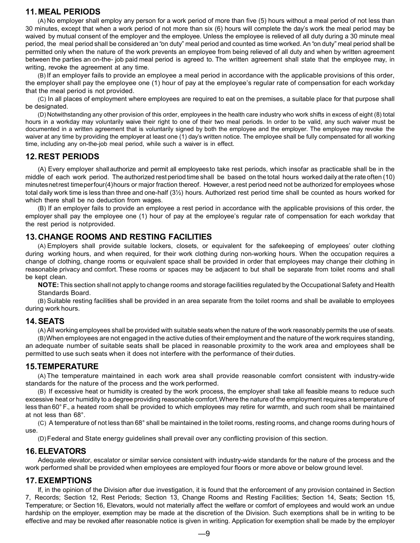## **11.MEAL PERIODS**

 30 minutes, except that when a work period of not more than six (6) hours will complete the day's work the meal period may be waived by mutual consent of the employer and the employee. Unless the employee is relieved of all duty during a 30 minute meal period, the meal period shall be considered an "on duty" meal period and counted as time worked. An "on duty" meal period shall be permitted only when the nature of the work prevents an employee from being relieved of all duty and when by written agreement between the parties an on-the- job paid meal period is agreed to. The written agreement shall state that the employee may, in writing, revoke the agreement at any time. (A) No employer shall employ any person for a work period of more than five (5) hours without a meal period of not less than

 (B) If an employer fails to provide an employee a meal period in accordance with the applicable provisions of this order, the employer shall pay the employee one (1) hour of pay at the employee's regular rate of compensation for each workday that the meal period is not provided.

 (C) In all places of employment where employees are required to eat on the premises, a suitable place for that purpose shall be designated.

 (D) Notwithstanding any other provision of this order, employees in the health care industry who work shifts in excess of eight (8) total hours in a workday may voluntarily waive their right to one of their two meal periods. In order to be valid, any such waiver must be documented in a written agreement that is voluntarily signed by both the employee and the employer. The employee may revoke the waiver at any time by providing the employer at least one (1) day's written notice. The employee shall be fully compensated for all working time, including any on-the-job meal period, while such a waiver is in effect.

## **12.REST PERIODS**

 (A) Every employer shallauthorize and permit all employeesto take rest periods, which insofar as practicable shall be in the middle of each work period. The authorized rest period time shall be based on the total hours worked daily at the rate often (10) minutesnetrest timeperfour(4)hours or major fraction thereof. However, a rest period need not be authorized for employees whose total daily work time is less than three and one-half (3½) hours. Authorized rest period time shall be counted as hours worked for which there shall be no deduction from wages.

 (B) If an employer fails to provide an employee a rest period in accordance with the applicable provisions of this order, the employer shall pay the employee one (1) hour of pay at the employee's regular rate of compensation for each workday that the rest period is notprovided.

## **13.CHANGE ROOMS AND RESTING FACILITIES**

 (A) Employers shall provide suitable lockers, closets, or equivalent for the safekeeping of employees' outer clothing change of clothing, change rooms or equivalent space shall be provided in order that employees may change their clothing in reasonable privacy and comfort. These rooms or spaces may be adjacent to but shall be separate from toilet rooms and shall be kept clean. during working hours, and when required, for their work clothing during non-working hours. When the occupation requires a

 **NOTE:** This section shall not apply to change rooms and storage facilities regulated by the Occupational Safety and Health Standards Board.

 (B) Suitable resting facilities shall be provided in an area separate from the toilet rooms and shall be available to employees during work hours.

#### **14.SEATS**

(A) All working employees shall be provided with suitable seats when the nature of the work reasonably permits the use of seats.

 (B)When employees are not engaged in the active duties of their employment and the nature of the work requires standing, an adequate number of suitable seats shall be placed in reasonable proximity to the work area and employees shall be permitted to use such seats when it does not interfere with the performance of their duties.

#### **15.TEMPERATURE**

 standards for the nature of the process and the work performed. (A) The temperature maintained in each work area shall provide reasonable comfort consistent with industry-wide

 (B) If excessive heat or humidity is created by the work process, the employer shall take all feasible means to reduce such excessive heat or humidity to a degree providing reasonable comfort.Where the nature of the employment requires a temperature of less than 60° F., a heated room shall be provided to which employees may retire for warmth, and such room shall be maintained at not less than 68°.

 (C) A temperature of not less than 68° shall be maintained in the toilet rooms, resting rooms, and change rooms during hours of use.

(D) Federal and State energy guidelines shall prevail over any conflicting provision of this section.

#### **16.ELEVATORS**

 work performed shall be provided when employees are employed four floors or more above or below ground level. Adequate elevator, escalator or similar service consistent with industry-wide standards for the nature of the process and the

## **17.EXEMPTIONS**

 If, in the opinion of the Division after due investigation, it is found that the enforcement of any provision contained in Section Temperature; or Section16, Elevators, would not materially affect the welfare or comfort of employees and would work an undue hardship on the employer, exemption may be made at the discretion of the Division. Such exemptions shall be in writing to be 7, Records; Section 12, Rest Periods; Section 13, Change Rooms and Resting Facilities; Section 14, Seats; Section 15, effective and may be revoked after reasonable notice is given in writing. Application for exemption shall be made by the employer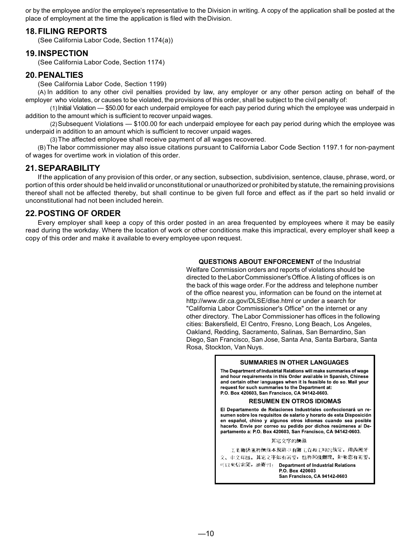or by the employee and/or the employee's representative to the Division in writing. A copy of the application shall be posted at the place of employment at the time the application is filed with theDivision.

## **18.FILING REPORTS**

(See California Labor Code, Section 1174(a))

#### **19.INSPECTION**

(See California Labor Code, Section 1174)

## **20.PENALTIES**

(See California Labor Code, Section 1199)

 (A) In addition to any other civil penalties provided by law, any employer or any other person acting on behalf of the employer who violates, or causes to be violated, the provisions of this order, shall be subject to the civil penalty of:

 (1) Initial Violation — \$50.00 for each underpaid employee for each pay period during which the employee was underpaid in addition to the amount which is sufficient to recover unpaid wages.

 (2) Subsequent Violations — \$100.00 for each underpaid employee for each pay period during which the employee was underpaid in addition to an amount which is sufficient to recover unpaid wages.

(3) The affected employee shall receive payment of all wages recovered.

 (B) The labor commissioner may also issue citations pursuant to California Labor Code Section 1197.1 for non-payment of wages for overtime work in violation of this order.

## **21.SEPARABILITY**

 If the application of any provision of this order, or any section, subsection, subdivision, sentence, clause, phrase, word, or portion of this order should be held invalid or unconstitutional or unauthorized or prohibited by statute, the remaining provisions thereof shall not be affected thereby, but shall continue to be given full force and effect as if the part so held invalid or unconstitutional had not been included herein.

## **22.POSTING OF ORDER**

 Every employer shall keep a copy of this order posted in an area frequented by employees where it may be easily read during the workday. Where the location of work or other conditions make this impractical, every employer shall keep a copy of this order and make it available to every employee upon request.

#### **QUESTIONS ABOUT ENFORCEMENT** of the Industrial

 Welfare Commission orders and reports of violations should be directed to theLaborCommissioner'sOffice.A listing of offices is on the back of this wage order. For the address and telephone number of the office nearest you, information can be found on the internet at http://www.dir.ca.gov/DLSE/dlse.html or under a search for "California Labor Commissioner's Office" on the internet or any other directory. The Labor Commissioner has offices in the following cities: Bakersfield, El Centro, Fresno, Long Beach, Los Angeles, Oakland, Redding, Sacramento, Salinas, San Bernardino, San Diego, San Francisco, San Jose, Santa Ana, Santa Barbara, Santa Rosa, Stockton, Van Nuys.